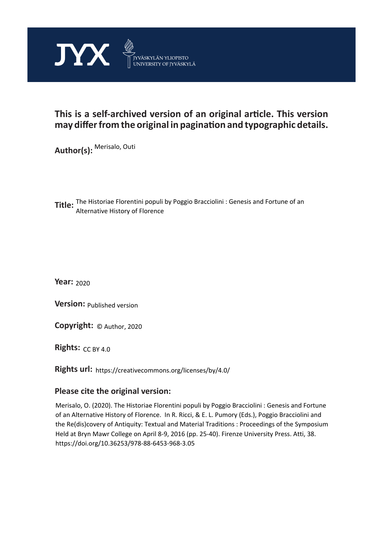

# **This is a self-archived version of an original article. This version may differ from the original in pagination and typographic details.**

**Author(s):**  Merisalo, Outi

**Title:** The Historiae Florentini populi by Poggio Bracciolini : Genesis and Fortune of an<br> **Title:** Alternative Uistam of Florence Alternative History of Florence

**Year:**  2020

**Version:**

**Version:** Published version<br>**Copyright:** © Author, 2020

**Rights:** CC BY 4.0

**Rights url:**  https://creativecommons.org/licenses/by/4.0/

# **Please cite the original version:**

Merisalo, O. (2020). The Historiae Florentini populi by Poggio Bracciolini : Genesis and Fortune of an Alternative History of Florence. In R. Ricci, & E. L. Pumory (Eds.), Poggio Bracciolini and the Re(dis)covery of Antiquity: Textual and Material Traditions : Proceedings of the Symposium Held at Bryn Mawr College on April 8-9, 2016 (pp. 25-40). Firenze University Press. Atti, 38. https://doi.org/10.36253/978-88-6453-968-3.05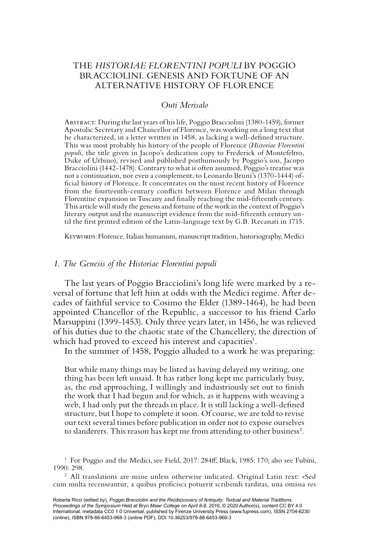# THE *HISTORIAE FLORENTINI POPULI* BY POGGIO BRACCIOLINI. GENESIS AND FORTUNE OF AN ALTERNATIVE HISTORY OF FLORENCE

### *Outi Merisalo*

Abstract: During the last years of his life, Poggio Bracciolini (1380-1459), former Apostolic Secretary and Chancellor of Florence, was working on a long text that he characterized, in a letter written in 1458, as lacking a well-defined structure. This was most probably his history of the people of Florence (*Historiae Florentini populi*, the title given in Jacopo's dedication copy to Frederick of Montefeltro, Duke of Urbino), revised and published posthumously by Poggio's son, Jacopo Bracciolini (1442-1478). Contrary to what is often assumed, Poggio's treatise was not a continuation, nor even a complement, to Leonardo Bruni's (1370-1444) official history of Florence. It concentrates on the most recent history of Florence from the fourteenth-century conflicts between Florence and Milan through Florentine expansion in Tuscany and finally reaching the mid-fifteenth century. This article will study the genesis and fortune of the work in the context of Poggio's literary output and the manuscript evidence from the mid-fifteenth century until the first printed edition of the Latin-language text by G.B. Recanati in 1715.

Keywords: Florence, Italian humanism, manuscript tradition, historiography, Medici

## *1. The Genesis of the Historiae Florentini populi*

The last years of Poggio Bracciolini's long life were marked by a reversal of fortune that left him at odds with the Medici regime. After decades of faithful service to Cosimo the Elder (1389-1464), he had been appointed Chancellor of the Republic, a successor to his friend Carlo Marsuppini (1399-1453). Only three years later, in 1456, he was relieved of his duties due to the chaotic state of the Chancellery, the direction of which had proved to exceed his interest and capacities<sup>1</sup>.

In the summer of 1458, Poggio alluded to a work he was preparing:

But while many things may be listed as having delayed my writing, one thing has been left unsaid. It has rather long kept me particularly busy, as, the end approaching, I willingly and industriously set out to finish the work that I had begun and for which, as it happens with weaving a web, I had only put the threads in place. It is still lacking a well-defined structure, but I hope to complete it soon. Of course, we are told to revise our text several times before publication in order not to expose ourselves to slanderers. This reason has kept me from attending to other business<sup>2</sup>.

<sup>2</sup> All translations are mine unless otherwise indicated. Original Latin text: «Sed cum multa recenseantur, a quibus proficisci potuerit scribendi tarditas, una omissa res

 $^{\rm 1}$  For Poggio and the Medici, see Field, 2017: 284ff; Black, 1985: 170; also see Fubini, 1990: 298.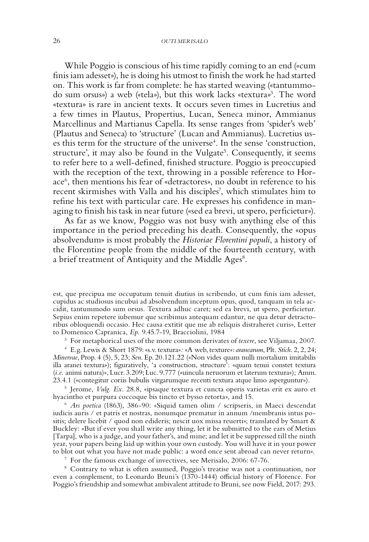#### 26 *Outi Merisalo*

While Poggio is conscious of his time rapidly coming to an end («cum finis iam adesset»), he is doing his utmost to finish the work he had started on. This work is far from complete: he has started weaving («tantummodo sum orsus») a web («tela»), but this work lacks «textura»3 *.* The word «textura» is rare in ancient texts. It occurs seven times in Lucretius and a few times in Plautus, Propertius, Lucan, Seneca minor, Ammianus Marcellinus and Martianus Capella. Its sense ranges from 'spider's web' (Plautus and Seneca) to 'structure' (Lucan and Ammianus). Lucretius uses this term for the structure of the universe<sup>4</sup>. In the sense 'construction, structure', it may also be found in the Vulgate<sup>5</sup>. Consequently, it seems to refer here to a well-defined, finished structure. Poggio is preoccupied with the reception of the text, throwing in a possible reference to Horace6 , then mentions his fear of «detractores», no doubt in reference to his recent skirmishes with Valla and his disciples<sup>7</sup>, which stimulates him to refine his text with particular care. He expresses his confidence in managing to finish his task in near future («sed ea brevi, ut spero, perficietur»).

As far as we know, Poggio was not busy with anything else of this importance in the period preceding his death. Consequently, the «opus absolvendum» is most probably the *Historiae Florentini populi*, a history of the Florentine people from the middle of the fourteenth century, with a brief treatment of Antiquity and the Middle Ages<sup>8</sup>.

est, que precipua me occupatum tenuit diutius in scribendo, ut cum finis iam adesset, cupidus ac studiosus incubui ad absolvendum inceptum opus, quod, tanquam in tela accidit, tantummodo sum orsus. Textura adhuc caret; sed ea brevi, ut spero, perficietur. Sepius enim repetere iubemur que scribimus antequam edantur, ne qua detur detractoribus obloquendi occasio. Hec causa extitit que me ab reliquis distraheret curis», Letter to Domenico Capranica, *Ep.* 9.45.7-19, Bracciolini, 1984<br><sup>3</sup> For metaphorical uses of the more common derivates of *texere*, see Viljamaa, 2007.

<sup>4</sup> E.g. Lewis & Short 1879: «s.v. textura»*:* «A web, texture»: *aranearum*, Plt. *Stich*. 2, 2, 24; *Minervae*, Prop. 4 (5), 5, 23; *Sen*. Ep. 20.121.22 («Non vides quam nulli mortalium imitabilis illa aranei textura»); figuratively, 'a construction, structure': «quam tenui constet textura (*i.e.* animi natura)», Lucr. 3.209; Luc. 9.777 («uincula neruorum et laterum textura»); Amm. 23.4.1 («contegitur coriis bubulis virgarumque recenti textura atque limo asperguntur»).

<sup>5</sup> Jerome, *Vulg. Ex*. 28.8, «ipsaque textura et cuncta operis varietas erit ex auro et hyacintho et purpura coccoque bis tincto et bysso retorta», and 15. 6 *Ars poetica* (1863), 386-90: «Siquid tamen olim / scripseris, in Maeci descendat

iudicis auris / et patris et nostras, nonumque prematur in annum /membranis intus positis; delere licebit / quod non edideris; nescit uox missa reuerti»; translated by Smart & Buckley: «But if ever you shall write any thing, let it be submitted to the ears of Metius [Tarpa], who is a judge, and your father's, and mine; and let it be suppressed till the ninth year, your papers being laid up within your own custody. You will have it in your power to blot out what you have not made public: a word once sent abroad can never return».

<sup>7</sup> For the famous exchange of invectives, see Merisalo, 2006: 67-76.

<sup>8</sup> Contrary to what is often assumed, Poggio's treatise was not a continuation, nor even a complement, to Leonardo Bruni's (1370-1444) official history of Florence. For Poggio's friendship and somewhat ambivalent attitude to Bruni, see now Field, 2017: 293.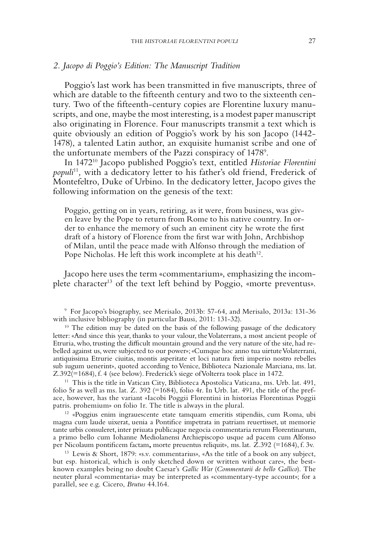#### *2. Jacopo di Poggio's Edition: The Manuscript Tradition*

Poggio's last work has been transmitted in five manuscripts, three of which are datable to the fifteenth century and two to the sixteenth century. Two of the fifteenth-century copies are Florentine luxury manuscripts, and one, maybe the most interesting, is a modest paper manuscript also originating in Florence. Four manuscripts transmit a text which is quite obviously an edition of Poggio's work by his son Jacopo (1442- 1478), a talented Latin author, an exquisite humanist scribe and one of the unfortunate members of the Pazzi conspiracy of 1478<sup>9</sup>.

In 147210 Jacopo published Poggio's text, entitled *Historiae Florentini populi*11*,* with a dedicatory letter to his father's old friend, Frederick of Montefeltro, Duke of Urbino. In the dedicatory letter, Jacopo gives the following information on the genesis of the text:

Poggio, getting on in years, retiring, as it were, from business, was given leave by the Pope to return from Rome to his native country. In order to enhance the memory of such an eminent city he wrote the first draft of a history of Florence from the first war with John, Archbishop of Milan, until the peace made with Alfonso through the mediation of Pope Nicholas. He left this work incomplete at his death<sup>12</sup>.

Jacopo here uses the term «commentarium», emphasizing the incomplete character<sup>13</sup> of the text left behind by Poggio, «morte preventus».

<sup>9</sup> For Jacopo's biography, see Merisalo, 2013b: 57-64, and Merisalo, 2013a: 131-36 with inclusive bibliography (in particular Bausi, 2011: 131-32).

<sup>10</sup> The edition may be dated on the basis of the following passage of the dedicatory letter: «And since this year, thanks to your valour, the Volaterrans, a most ancient people of Etruria, who, trusting the difficult mountain ground and the very nature of the site, had rebelled against us, were subjected to our power»; «Cumque hoc anno tua uirtute Volaterrani, antiquissima Etrurie ciuitas, montis asperitate et loci natura freti imperio nostro rebelles sub iugum uenerint», quoted according to Venice, Biblioteca Nazionale Marciana, ms. lat. Z.392(=1684), f. 4 (see below). Frederick's siege of Volterra took place in 1472.

<sup>11</sup> This is the title in Vatican City, Biblioteca Apostolica Vaticana, ms. Urb. lat. 491, folio 5r as well as ms. lat. Z. 392 (= $1684$ ), folio 4r. In Urb. lat. 491, the title of the preface, however, has the variant «Iacobi Poggii Florentini in historias Florentinas Poggii patris. prohemium» on folio 1r. The title is always in the plural.

<sup>12</sup> «Poggius enim ingrauescente etate tamquam emeritis stipendiis, cum Roma, ubi magna cum laude uixerat, uenia a Pontifice impetrata in patriam reuertisset, ut memorie tante urbis consuleret, inter priuata publicaque negocia commentaria rerum Florentinarum, a primo bello cum Iohanne Mediolanensi Archiepiscopo usque ad pacem cum Alfonso per Nicolaum pontificem factam**,** morte preuentus reliquit», ms. lat. Z.392 (=1684), f. 3v.

<sup>13</sup> Lewis & Short, 1879: «s.v. commentarius», «As the title of a book on any subject, but esp. historical, which is only sketched down or written without care», the bestknown examples being no doubt Caesar's *Gallic War* (*Commentarii de bello Gallico*). The neuter plural «commentaria» may be interpreted as «commentary-type account»; for a parallel, see e.g. Cicero, *Brutus* 44.164.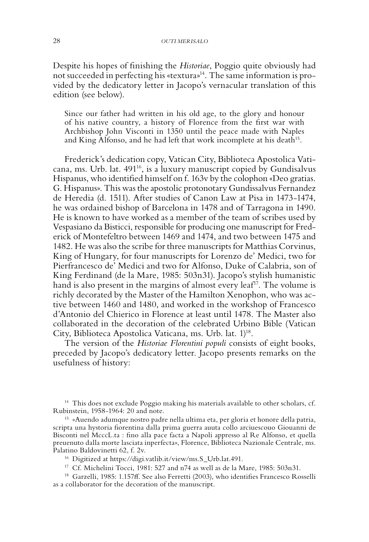Despite his hopes of finishing the *Historiae*, Poggio quite obviously had not succeeded in perfecting his «textura»14. The same information is provided by the dedicatory letter in Jacopo's vernacular translation of this edition (see below).

Since our father had written in his old age, to the glory and honour of his native country, a history of Florence from the first war with Archbishop John Visconti in 1350 until the peace made with Naples and King Alfonso, and he had left that work incomplete at his death<sup>15</sup>.

Frederick's dedication copy, Vatican City, Biblioteca Apostolica Vaticana, ms. Urb. lat. 49116, is a luxury manuscript copied by Gundisalvus Hispanus, who identified himself on f. 163v by the colophon «Deo gratias. G. Hispanus». This was the apostolic protonotary Gundissalvus Fernandez de Heredia (d. 1511). After studies of Canon Law at Pisa in 1473-1474, he was ordained bishop of Barcelona in 1478 and of Tarragona in 1490. He is known to have worked as a member of the team of scribes used by Vespasiano da Bisticci, responsible for producing one manuscript for Frederick of Montefeltro between 1469 and 1474, and two between 1475 and 1482. He was also the scribe for three manuscripts for Matthias Corvinus, King of Hungary, for four manuscripts for Lorenzo de' Medici, two for Pierfrancesco de' Medici and two for Alfonso, Duke of Calabria, son of King Ferdinand (de la Mare, 1985: 503n31). Jacopo's stylish humanistic hand is also present in the margins of almost every leaf<sup>17</sup>. The volume is richly decorated by the Master of the Hamilton Xenophon, who was active between 1460 and 1480, and worked in the workshop of Francesco d'Antonio del Chierico in Florence at least until 1478. The Master also collaborated in the decoration of the celebrated Urbino Bible (Vatican City, Biblioteca Apostolica Vaticana, ms. Urb. lat. 1)<sup>18</sup>.

The version of the *Historiae Florentini populi* consists of eight books, preceded by Jacopo's dedicatory letter. Jacopo presents remarks on the usefulness of history:

 $^{14}$  This does not exclude Poggio making his materials available to other scholars, cf. Rubinstein, 1958-1964: 20 and note.

<sup>15</sup> «Auendo adumque nostro padre nella ultima eta, per gloria et honore della patria, scripta una hystoria fiorentina dalla prima guerra auuta collo arciuescouo Giouanni de Bisconti nel McccL.ta : fino alla pace facta a Napoli appresso al Re Alfonso, et quella preuenuto dalla morte lasciata inperfecta», Florence, Biblioteca Nazionale Centrale, ms. Palatino Baldovinetti 62, f. 2v.

<sup>16</sup> Digitized at https://digi.vatlib.it/view/ms.S\_Urb.lat.491.

<sup>17</sup> Cf. Michelini Tocci, 1981: 527 and n74 as well as de la Mare, 1985: 503n31.

<sup>18</sup> Garzelli, 1985: 1.157ff. See also Ferretti (2003), who identifies Francesco Rosselli as a collaborator for the decoration of the manuscript.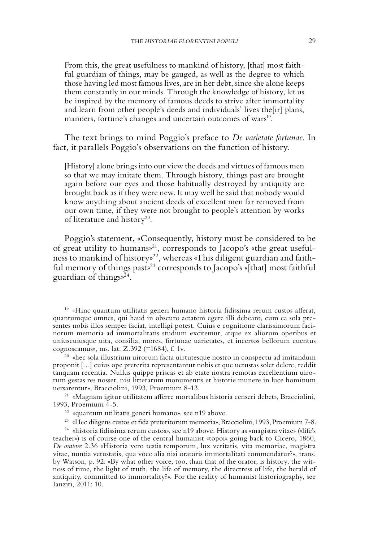From this, the great usefulness to mankind of history, [that] most faithful guardian of things, may be gauged, as well as the degree to which those having led most famous lives, are in her debt, since she alone keeps them constantly in our minds. Through the knowledge of history, let us be inspired by the memory of famous deeds to strive after immortality and learn from other people's deeds and individuals' lives the [ir] plans, manners, fortune's changes and uncertain outcomes of wars<sup>19</sup>.

The text brings to mind Poggio's preface to *De varietate fortunae*. In fact, it parallels Poggio's observations on the function of history.

[History] alone brings into our view the deeds and virtues of famous men so that we may imitate them. Through history, things past are brought again before our eyes and those habitually destroyed by antiquity are brought back as if they were new. It may well be said that nobody would know anything about ancient deeds of excellent men far removed from our own time, if they were not brought to people's attention by works of literature and history20.

Poggio's statement, «Consequently, history must be considered to be of great utility to humans»21, corresponds to Jacopo's «the great usefulness to mankind of history»22, whereas «This diligent guardian and faithful memory of things past»23 corresponds to Jacopo's «[that] most faithful guardian of things»24.

<sup>19</sup> «Hinc quantum utilitatis generi humano historia fidissima rerum custos afferat, quantumque omnes, qui haud in obscuro aetatem egere illi debeant, cum ea sola presentes nobis illos semper faciat, intelligi potest. Cuius e cognitione clarissimorum facinorum memoria ad immortalitatis studium excitemur, atque ex aliorum operibus et uniuscuiusque uita, consilia, mores, fortunae uarietates, et incertos bellorum euentus cognoscamus», ms. lat. Z.392 (=1684), f. 1v. 20 «hec sola illustrium uirorum facta uirtutesque nostro in conspectu ad imitandum

proponit […] cuius ope preterita representantur nobis et que uetustas solet delere, reddit tanquam recentia. Nullus quippe priscas et ab etate nostra remotas excellentium uirorum gestas res nosset, nisi litterarum monumentis et historie munere in luce hominum uersarentur», Bracciolini, 1993, Proemium 8-13.

<sup>21</sup> «Magnam igitur utilitatem afferre mortalibus historia censeri debet», Bracciolini, 1993, Proemium 4-5.

<sup>22</sup> «quantum utilitatis generi humano», see n19 above.

<sup>23</sup> «Hec diligens custos et fida preteritorum memoria», Bracciolini, 1993, Proemium 7-8.

<sup>24</sup> «historia fidissima rerum custos», see n19 above. History as «magistra vitae» («life's teacher») is of course one of the central humanist «topoi» going back to Cicero, 1860, *De oratore* 2.36 «Historia vero testis temporum, lux veritatis, vita memoriae, magistra vitae, nuntia vetustatis, qua voce alia nisi oratoris immortalitati commendatur?», trans. by Watson, p. 92: «By what other voice, too, than that of the orator, is history, the witness of time, the light of truth, the life of memory, the directress of life, the herald of antiquity, committed to immortality?». For the reality of humanist historiography, see Ianziti, 2011: 10.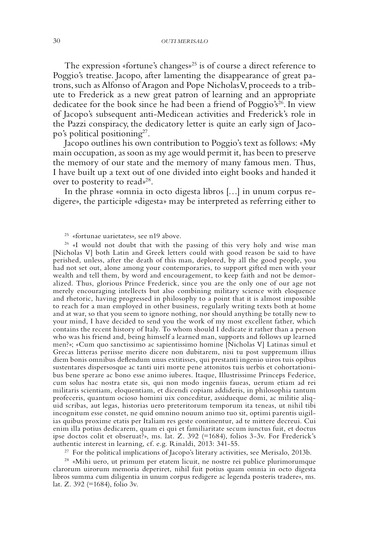The expression «fortune's changes»<sup>25</sup> is of course a direct reference to Poggio's treatise. Jacopo, after lamenting the disappearance of great patrons, such as Alfonso of Aragon and Pope Nicholas V, proceeds to a tribute to Frederick as a new great patron of learning and an appropriate dedicatee for the book since he had been a friend of Poggio's<sup>26</sup>. In view of Jacopo's subsequent anti-Medicean activities and Frederick's role in the Pazzi conspiracy, the dedicatory letter is quite an early sign of Jacopo's political positioning<sup>27</sup>.

Jacopo outlines his own contribution to Poggio's text as follows: «My main occupation, as soon as my age would permit it, has been to preserve the memory of our state and the memory of many famous men. Thus, I have built up a text out of one divided into eight books and handed it over to posterity to read»<sup>28</sup>.

In the phrase «omnia in octo digesta libros […] in unum corpus redigere», the participle «digesta» may be interpreted as referring either to

<sup>25</sup> «fortunae uarietates»*,* see n19 above.

<sup>26</sup> «I would not doubt that with the passing of this very holy and wise man [Nicholas V] both Latin and Greek letters could with good reason be said to have perished, unless, after the death of this man, deplored, by all the good people, you had not set out, alone among your contemporaries, to support gifted men with your wealth and tell them, by word and encouragement, to keep faith and not be demoralized. Thus, glorious Prince Frederick, since you are the only one of our age not merely encouraging intellects but also combining military science with eloquence and rhetoric, having progressed in philosophy to a point that it is almost impossible to reach for a man employed in other business, regularly writing texts both at home and at war, so that you seem to ignore nothing, nor should anything be totally new to your mind, I have decided to send you the work of my most excellent father, which contains the recent history of Italy. To whom should I dedicate it rather than a person who was his friend and, being himself a learned man, supports and follows up learned men?»; «Cum quo sanctissimo ac sapientissimo homine [Nicholas V] Latinas simul et Grecas litteras periisse merito dicere non dubitarem, nisi tu post suppremum illius diem bonis omnibus deflendum unus extitisses, qui prestanti ingenio uiros tuis opibus sustentares dispersosque ac tanti uiri morte pene attonitos tuis uerbis et cohortationibus bene sperare ac bono esse animo iuberes. Itaque, Illustrissime Princeps Federice, cum solus hac nostra etate sis, qui non modo ingeniis faueas, uerum etiam ad rei militaris scientiam, eloquentiam, et dicendi copiam addideris, in philosophia tantum profeceris, quantum ocioso homini uix conceditur, assidueque domi, ac militie aliquid scribas, aut legas, historias uero preteritorum temporum ita teneas, ut nihil tibi incognitum esse constet, ne quid omnino nouum animo tuo sit, optimi parentis uigilias quibus proxime etatis per Italiam res geste continentur, ad te mittere decreui. Cui enim illa potius dedicarem, quam ei qui et familiaritate secum iunctus fuit, et doctus ipse doctos colit et obseruat?», ms. lat. Z. 392 (=1684), folios 3-3v. For Frederick's authentic interest in learning, cf. e.g. Rinaldi, 2013: 341-55.

<sup>27</sup> For the political implications of Jacopo's literary activities, see Merisalo, 2013b.<br><sup>28</sup> «Mihi uero, ut primum per etatem licuit, ne nostre rei publice plurimorumque clarorum uirorum memoria deperiret, nihil fuit potius quam omnia in octo digesta libros summa cum diligentia in unum corpus redigere ac legenda posteris tradere», ms. lat. Z. 392 (=1684), folio 3v.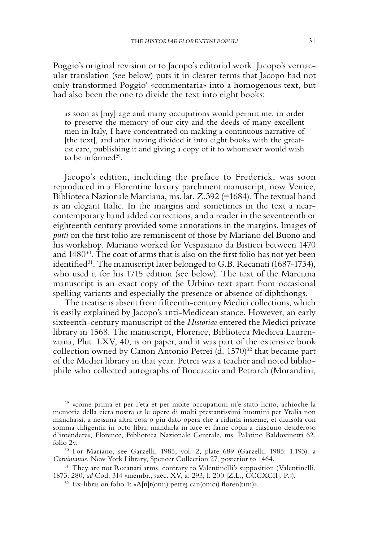Poggio's original revision or to Jacopo's editorial work. Jacopo's vernacular translation (see below) puts it in clearer terms that Jacopo had not only transformed Poggio' «commentaria» into a homogenous text, but had also been the one to divide the text into eight books:

as soon as [my] age and many occupations would permit me, in order to preserve the memory of our city and the deeds of many excellent men in Italy, I have concentrated on making a continuous narrative of [the text], and after having divided it into eight books with the greatest care, publishing it and giving a copy of it to whomever would wish to be informed $29$ .

Jacopo's edition, including the preface to Frederick, was soon reproduced in a Florentine luxury parchment manuscript, now Venice, Biblioteca Nazionale Marciana, ms. lat. Z.392 (=1684). The textual hand is an elegant Italic. In the margins and sometimes in the text a nearcontemporary hand added corrections, and a reader in the seventeenth or eighteenth century provided some annotations in the margins. Images of *putti* on the first folio are reminiscent of those by Mariano del Buono and his workshop. Mariano worked for Vespasiano da Bisticci between 1470 and  $1480^{30}$ . The coat of arms that is also on the first folio has not yet been identified<sup>31</sup>. The manuscript later belonged to G.B. Recanati (1687-1734), who used it for his 1715 edition (see below). The text of the Marciana manuscript is an exact copy of the Urbino text apart from occasional spelling variants and especially the presence or absence of diphthongs.

The treatise is absent from fifteenth-century Medici collections, which is easily explained by Jacopo's anti-Medicean stance. However, an early sixteenth-century manuscript of the *Historiae* entered the Medici private library in 1568. The manuscript, Florence, Biblioteca Medicea Laurenziana, Plut. LXV, 40, is on paper, and it was part of the extensive book collection owned by Canon Antonio Petrei (d. 1570)<sup>32</sup> that became part of the Medici library in that year. Petrei was a teacher and noted bibliophile who collected autographs of Boccaccio and Petrarch (Morandini,

<sup>29</sup> «come prima et per l'eta et per molte occupationi m'e stato licito, achioche la memoria della cicta nostra et le opere di molti prestantissimi huomini per Ytalia non manchassi, a nessuna altra cosa o piu dato opera che a ridurla insieme, et diuisola con somma diligentia in octo libri, mandarla in luce et farne copia a ciascuno desideroso d'intendere», Florence, Biblioteca Nazionale Centrale, ms. Palatino Baldovinetti 62, folio 2v.

<sup>30</sup> For Mariano, see Garzelli, 1985, vol. 2, plate 689 (Garzelli, 1985: 1.193): a *Corvinianus*, New York Library, Spencer Collection 27, posterior to 1464.

<sup>31</sup> They are not Recanati arms, contrary to Valentinelli's supposition (Valentinelli, 1873: 280, *ad* Cod. 314 «membr., saec. XV, a. 293, l. 200 [Z.L., CCCXCII]. P.»).

 $32$  Ex-libris on folio 1: «A[n]t(onii) petrej can(onici) floren(tini)».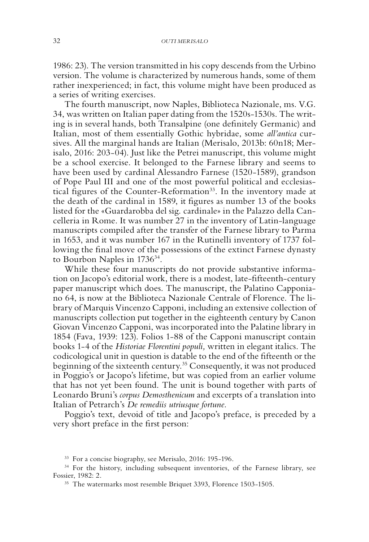1986: 23). The version transmitted in his copy descends from the Urbino version. The volume is characterized by numerous hands, some of them rather inexperienced; in fact, this volume might have been produced as a series of writing exercises.

The fourth manuscript, now Naples, Biblioteca Nazionale, ms. V.G. 34, was written on Italian paper dating from the 1520s-1530s. The writing is in several hands, both Transalpine (one definitely Germanic) and Italian, most of them essentially Gothic hybridae, some *all'antica* cursives. All the marginal hands are Italian (Merisalo, 2013b: 60n18; Merisalo, 2016: 203-04). Just like the Petrei manuscript, this volume might be a school exercise. It belonged to the Farnese library and seems to have been used by cardinal Alessandro Farnese (1520-1589), grandson of Pope Paul III and one of the most powerful political and ecclesiastical figures of the Counter-Reformation<sup>33</sup>. In the inventory made at the death of the cardinal in 1589, it figures as number 13 of the books listed for the «Guardarobba del sig. cardinale» in the Palazzo della Cancelleria in Rome. It was number 27 in the inventory of Latin-language manuscripts compiled after the transfer of the Farnese library to Parma in 1653, and it was number 167 in the Rutinelli inventory of 1737 following the final move of the possessions of the extinct Farnese dynasty to Bourbon Naples in 1736<sup>34</sup>.

While these four manuscripts do not provide substantive information on Jacopo's editorial work, there is a modest, late-fifteenth-century paper manuscript which does. The manuscript, the Palatino Capponiano 64, is now at the Biblioteca Nazionale Centrale of Florence. The library of Marquis Vincenzo Capponi, including an extensive collection of manuscripts collection put together in the eighteenth century by Canon Giovan Vincenzo Capponi, was incorporated into the Palatine library in 1854 (Fava, 1939: 123). Folios 1-88 of the Capponi manuscript contain books 1-4 of the *Historiae Florentini populi,* written in elegant italics. The codicological unit in question is datable to the end of the fifteenth or the beginning of the sixteenth century.35 Consequently, it was not produced in Poggio's or Jacopo's lifetime, but was copied from an earlier volume that has not yet been found. The unit is bound together with parts of Leonardo Bruni's *corpus Demosthenicum* and excerpts of a translation into Italian of Petrarch's *De remediis utriusque fortune.* 

Poggio's text, devoid of title and Jacopo's preface, is preceded by a very short preface in the first person:

<sup>33</sup> For a concise biography, see Merisalo, 2016: 195-196.

<sup>&</sup>lt;sup>34</sup> For the history, including subsequent inventories, of the Farnese library, see Fossier, 1982: 2.

<sup>35</sup> The watermarks most resemble Briquet 3393, Florence 1503-1505.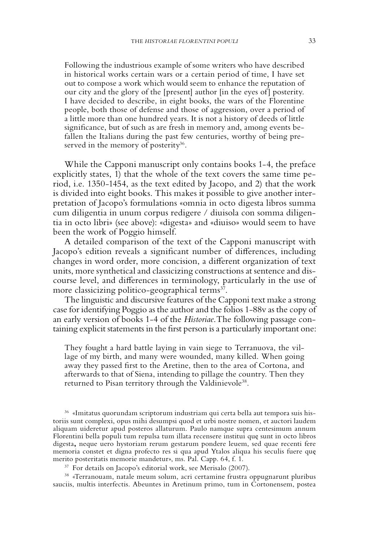Following the industrious example of some writers who have described in historical works certain wars or a certain period of time, I have set out to compose a work which would seem to enhance the reputation of our city and the glory of the [present] author [in the eyes of] posterity. I have decided to describe, in eight books, the wars of the Florentine people, both those of defense and those of aggression, over a period of a little more than one hundred years. It is not a history of deeds of little significance, but of such as are fresh in memory and, among events befallen the Italians during the past few centuries, worthy of being preserved in the memory of posterity<sup>36</sup>.

While the Capponi manuscript only contains books 1-4, the preface explicitly states, 1) that the whole of the text covers the same time period, i.e. 1350-1454, as the text edited by Jacopo, and 2) that the work is divided into eight books. This makes it possible to give another interpretation of Jacopo's formulations «omnia in octo digesta libros summa cum diligentia in unum corpus redigere / diuisola con somma diligentia in octo libri» (see above): «digesta» and «diuiso» would seem to have been the work of Poggio himself.

A detailed comparison of the text of the Capponi manuscript with Jacopo's edition reveals a significant number of differences, including changes in word order, more concision, a different organization of text units, more synthetical and classicizing constructions at sentence and discourse level, and differences in terminology, particularly in the use of more classicizing politico-geographical terms<sup>37</sup>.

The linguistic and discursive features of the Capponi text make a strong case for identifying Poggio as the author and the folios 1-88v as the copy of an early version of books 1-4 of the *Historiae*. The following passage containing explicit statements in the first person is a particularly important one:

They fought a hard battle laying in vain siege to Terranuova, the village of my birth, and many were wounded, many killed. When going away they passed first to the Aretine, then to the area of Cortona, and afterwards to that of Siena, intending to pillage the country. Then they returned to Pisan territory through the Valdinievole<sup>38</sup>.

<sup>36</sup> «Imitatus quorundam scriptorum industriam qui certa bella aut tempora suis historiis sunt complexi, opus mihi desumpsi quod et urbi nostre nomen, et auctori laudem aliquam uideretur apud posteros allaturum. Paulo namque supra centesimum annum Florentini bella populi tum repulsa tum illata recensere institui quę sunt in octo libros digesta**,** neque uero hystoriam rerum gestarum pondere leuem, sed quae recenti fere memoria constet et digna profecto res si qua apud Ytalos aliqua his seculis fuere quę merito posteritatis memorie mandetur», ms. Pal. Capp. 64, f. 1. 37 For details on Jacopo's editorial work, see Merisalo (2007).

<sup>38</sup> «Terranouam, natale meum solum, acri certamine frustra oppugnarunt pluribus sauciis, multis interfectis. Abeuntes in Aretinum primo, tum in Cortonensem, postea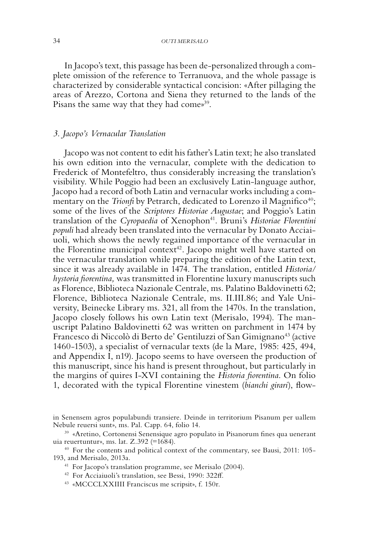In Jacopo's text, this passage has been de-personalized through a complete omission of the reference to Terranuova, and the whole passage is characterized by considerable syntactical concision: «After pillaging the areas of Arezzo, Cortona and Siena they returned to the lands of the Pisans the same way that they had come»<sup>39</sup>.

#### *3. Jacopo's Vernacular Translation*

Jacopo was not content to edit his father's Latin text; he also translated his own edition into the vernacular, complete with the dedication to Frederick of Montefeltro, thus considerably increasing the translation's visibility. While Poggio had been an exclusively Latin-language author, Jacopo had a record of both Latin and vernacular works including a commentary on the *Trionfi* by Petrarch, dedicated to Lorenzo il Magnifico<sup>40</sup>; some of the lives of the *Scriptores Historiae Augustae*; and Poggio's Latin translation of the *Cyropaedia* of Xenophon<sup>41</sup>. Bruni's *Historiae Florentini populi* had already been translated into the vernacular by Donato Acciaiuoli, which shows the newly regained importance of the vernacular in the Florentine municipal context<sup>42</sup>. Jacopo might well have started on the vernacular translation while preparing the edition of the Latin text, since it was already available in 1474. The translation, entitled *Historia/ hystoria fiorentina,* was transmitted in Florentine luxury manuscripts such as Florence, Biblioteca Nazionale Centrale, ms. Palatino Baldovinetti 62; Florence, Biblioteca Nazionale Centrale, ms. II.III.86; and Yale University, Beinecke Library ms. 321, all from the 1470s. In the translation, Jacopo closely follows his own Latin text (Merisalo, 1994). The manuscript Palatino Baldovinetti 62 was written on parchment in 1474 by Francesco di Niccolò di Berto de' Gentiluzzi of San Gimignano<sup>43</sup> (active 1460-1503), a specialist of vernacular texts (de la Mare, 1985: 425, 494, and Appendix I, n19). Jacopo seems to have overseen the production of this manuscript, since his hand is present throughout, but particularly in the margins of quires I-XVI containing the *Historia fiorentina*. On folio 1, decorated with the typical Florentine vinestem (*bianchi girari*), flow-

in Senensem agros populabundi transiere. Deinde in territorium Pisanum per uallem Nebule reuersi sunt», ms. Pal. Capp. 64, folio 14.

<sup>39</sup> «Aretino, Cortonensi Senensique agro populato in Pisanorum fines qua uenerant uia reuertuntur», ms. lat. Z.392 (=1684).

<sup>40</sup> For the contents and political context of the commentary, see Bausi, 2011: 105- 193, and Merisalo, 2013a.

<sup>41</sup> For Jacopo's translation programme, see Merisalo (2004).

<sup>42</sup> For Acciaiuoli's translation, see Bessi, 1990: 322ff.

<sup>43</sup> «MCCCLXXIIII Franciscus me scripsit», f. 150r.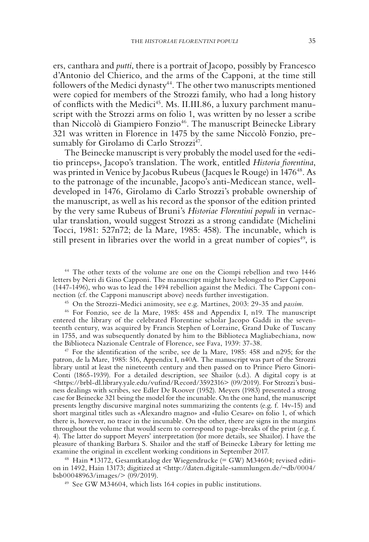ers, canthara and *putti*, there is a portrait of Jacopo, possibly by Francesco d'Antonio del Chierico, and the arms of the Capponi, at the time still followers of the Medici dynasty<sup>44</sup>. The other two manuscripts mentioned were copied for members of the Strozzi family, who had a long history of conflicts with the Medici<sup>45</sup>. Ms. II.III.86, a luxury parchment manuscript with the Strozzi arms on folio 1, was written by no lesser a scribe than Niccolò di Giampiero Fonzio<sup>46</sup>. The manuscript Beinecke Library 321 was written in Florence in 1475 by the same Niccolò Fonzio, presumably for Girolamo di Carlo Strozzi<sup>47</sup>.

The Beinecke manuscript is very probably the model used for the «editio princeps», Jacopo's translation. The work, entitled *Historia fiorentina*, was printed in Venice by Jacobus Rubeus (Jacques le Rouge) in 1476<sup>48</sup>. As to the patronage of the incunable, Jacopo's anti-Medicean stance, welldeveloped in 1476, Girolamo di Carlo Strozzi's probable ownership of the manuscript, as well as his record as the sponsor of the edition printed by the very same Rubeus of Bruni's *Historiae Florentini populi* in vernacular translation, would suggest Strozzi as a strong candidate (Michelini Tocci, 1981: 527n72; de la Mare, 1985: 458). The incunable, which is still present in libraries over the world in a great number of copies<sup>49</sup>, is

<sup>44</sup> The other texts of the volume are one on the Ciompi rebellion and two 1446 letters by Neri di Gino Capponi. The manuscript might have belonged to Pier Capponi (1447-1496), who was to lead the 1494 rebellion against the Medici. The Capponi connection (cf. the Capponi manuscript above) needs further investigation.

<sup>45</sup> On the Strozzi-Medici animosity, see e.g. Martines, 2003: 29-35 and *passim*.

<sup>46</sup> For Fonzio, see de la Mare, 1985: 458 and Appendix I, n19. The manuscript entered the library of the celebrated Florentine scholar Jacopo Gaddi in the seventeenth century, was acquired by Francis Stephen of Lorraine, Grand Duke of Tuscany in 1755, and was subsequently donated by him to the Biblioteca Magliabechiana, now the Biblioteca Nazionale Centrale of Florence, see Fava, 1939: 37-38.

<sup>47</sup> For the identification of the scribe, see de la Mare, 1985: 458 and n295; for the patron, de la Mare, 1985: 516, Appendix I, n40A. The manuscript was part of the Strozzi library until at least the nineteenth century and then passed on to Prince Piero Ginori-Conti (1865-1939). For a detailed description, see Shailor (s.d.). A digital copy is at <https://brbl-dl.library.yale.edu/vufind/Record/3592316> (09/2019). For Strozzi's business dealings with scribes, see Edler De Roover (1952). Meyers (1983) presented a strong case for Beinecke 321 being the model for the incunable. On the one hand, the manuscript presents lengthy discursive marginal notes summarizing the contents (e.g. f. 14v-15) and short marginal titles such as «Alexandro magno» and «Iulio Cesare» on folio 1, of which there is, however, no trace in the incunable. On the other, there are signs in the margins throughout the volume that would seem to correspond to page-breaks of the print (e.g. f. 4). The latter do support Meyers' interpretation (for more details, see Shailor). I have the pleasure of thanking Barbara S. Shailor and the staff of Beinecke Library for letting me examine the original in excellent working conditions in September 2017.<br><sup>48</sup> Hain \*13172, Gesamtkatalog der Wiegendrucke (= GW) M34604; revised editi-

on in 1492, Hain 13173; digitized at <http://daten.digitale-sammlungen.de/~db/0004/<br>bsb00048963/images/> (09/2019).

 $49$  See GW M34604, which lists 164 copies in public institutions.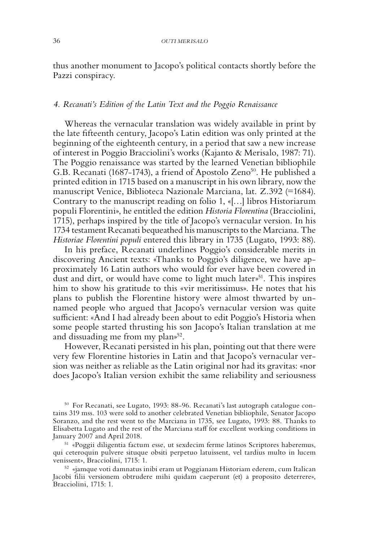thus another monument to Jacopo's political contacts shortly before the Pazzi conspiracy.

#### *4. Recanati's Edition of the Latin Text and the Poggio Renaissance*

Whereas the vernacular translation was widely available in print by the late fifteenth century, Jacopo's Latin edition was only printed at the beginning of the eighteenth century, in a period that saw a new increase of interest in Poggio Bracciolini's works (Kajanto & Merisalo, 1987: 71). The Poggio renaissance was started by the learned Venetian bibliophile G.B. Recanati (1687-1743), a friend of Apostolo Zeno<sup>50</sup>. He published a printed edition in 1715 based on a manuscript in his own library, now the manuscript Venice, Biblioteca Nazionale Marciana, lat. Z.392 (=1684). Contrary to the manuscript reading on folio 1, «[…] libros Historiarum populi Florentini», he entitled the edition *Historia Florentina* (Bracciolini, 1715), perhaps inspired by the title of Jacopo's vernacular version. In his 1734 testament Recanati bequeathed his manuscripts to the Marciana. The *Historiae Florentini populi* entered this library in 1735 (Lugato, 1993: 88).

In his preface, Recanati underlines Poggio's considerable merits in discovering Ancient texts: «Thanks to Poggio's diligence, we have approximately 16 Latin authors who would for ever have been covered in dust and dirt, or would have come to light much later $v^{51}$ . This inspires him to show his gratitude to this «vir meritissimus». He notes that his plans to publish the Florentine history were almost thwarted by unnamed people who argued that Jacopo's vernacular version was quite sufficient: «And I had already been about to edit Poggio's Historia when some people started thrusting his son Jacopo's Italian translation at me and dissuading me from my plan»<sup>52</sup>.

However, Recanati persisted in his plan, pointing out that there were very few Florentine histories in Latin and that Jacopo's vernacular version was neither as reliable as the Latin original nor had its gravitas: «nor does Jacopo's Italian version exhibit the same reliability and seriousness

<sup>50</sup> For Recanati, see Lugato, 1993: 88-96. Recanati's last autograph catalogue contains 319 mss. 103 were sold to another celebrated Venetian bibliophile, Senator Jacopo Soranzo, and the rest went to the Marciana in 1735, see Lugato, 1993: 88. Thanks to Elisabetta Lugato and the rest of the Marciana staff for excellent working conditions in

<sup>51</sup> «Poggii diligentia factum esse, ut sexdecim ferme latinos Scriptores haberemus, qui ceteroquin pulvere situque obsiti perpetuo latuissent, vel tardius multo in lucem

venissent», Bracciolini, 1715: 1. 52 «jamque voti damnatus inibi eram ut Poggianam Historiam ederem, cum Italican Jacobi filii versionem obtrudere mihi quidam caeperunt (et) a proposito deterrere», Bracciolini, 1715: 1.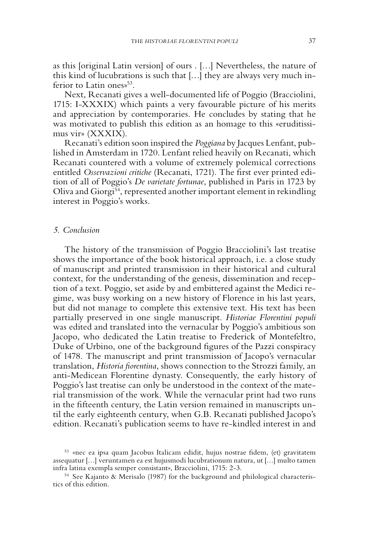as this [original Latin version] of ours . […] Nevertheless, the nature of this kind of lucubrations is such that […] they are always very much inferior to Latin ones<sup>53</sup>.

Next, Recanati gives a well-documented life of Poggio (Bracciolini, 1715: I-XXXIX) which paints a very favourable picture of his merits and appreciation by contemporaries. He concludes by stating that he was motivated to publish this edition as an homage to this «eruditissimus vir» (XXXIX).

Recanati's edition soon inspired the *Poggiana* by Jacques Lenfant, published in Amsterdam in 1720. Lenfant relied heavily on Recanati, which Recanati countered with a volume of extremely polemical corrections entitled *Osservazioni critiche* (Recanati, 1721)*.* The first ever printed edition of all of Poggio's *De varietate fortunae*, published in Paris in 1723 by Oliva and Giorgi54, represented another important element in rekindling interest in Poggio's works.

#### *5. Conclusion*

The history of the transmission of Poggio Bracciolini's last treatise shows the importance of the book historical approach, i.e. a close study of manuscript and printed transmission in their historical and cultural context, for the understanding of the genesis, dissemination and reception of a text. Poggio, set aside by and embittered against the Medici regime, was busy working on a new history of Florence in his last years, but did not manage to complete this extensive text. His text has been partially preserved in one single manuscript. *Historiae Florentini populi* was edited and translated into the vernacular by Poggio's ambitious son Jacopo, who dedicated the Latin treatise to Frederick of Montefeltro, Duke of Urbino, one of the background figures of the Pazzi conspiracy of 1478. The manuscript and print transmission of Jacopo's vernacular translation, *Historia fiorentina*, shows connection to the Strozzi family, an anti-Medicean Florentine dynasty. Consequently, the early history of Poggio's last treatise can only be understood in the context of the material transmission of the work. While the vernacular print had two runs in the fifteenth century, the Latin version remained in manuscripts until the early eighteenth century, when G.B. Recanati published Jacopo's edition. Recanati's publication seems to have re-kindled interest in and

<sup>53</sup> «nec ea ipsa quam Jacobus Italicam edidit, hujus nostrae fidem, (et) gravitatem assequatur […] veruntamen ea est hujusmodi lucubrationum natura, ut […] multo tamen infra latina exempla semper consistant», Bracciolini, 1715: 2-3.

<sup>54</sup> See Kajanto & Merisalo (1987) for the background and philological characteristics of this edition.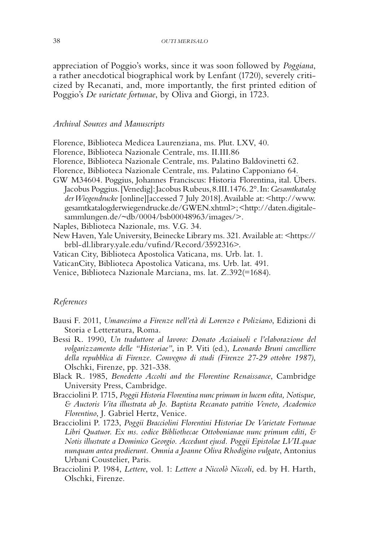appreciation of Poggio's works, since it was soon followed by *Poggiana*, a rather anecdotical biographical work by Lenfant (1720), severely criticized by Recanati, and, more importantly, the first printed edition of Poggio's *De varietate fortunae*, by Oliva and Giorgi, in 1723.

#### *Archival Sources and Manuscripts*

Florence, Biblioteca Medicea Laurenziana, ms. Plut. LXV, 40. Florence, Biblioteca Nazionale Centrale, ms. II.III.86 Florence, Biblioteca Nazionale Centrale, ms. Palatino Baldovinetti 62. Florence, Biblioteca Nazionale Centrale, ms. Palatino Capponiano 64. GW M34604. Poggius, Johannes Franciscus: Historia Florentina, ital. Übers. Jacobus Poggius. [Venedig]: Jacobus Rubeus, 8.III.1476. 2°. In: *Gesamtkatalog der Wiegendrucke* [online][accessed 7 July 2018]. Available at: <http://www. gesamtkatalogderwiegendrucke.de/GWEN.xhtml>; <http://daten.digitalesammlungen.de/~db/0004/bsb00048963/images/>.

Naples, Biblioteca Nazionale, ms. V.G. 34.

New Haven, Yale University, Beinecke Library ms. 321. Available at: <https:// brbl-dl.library.yale.edu/vufind/Record/3592316>.

- Vatican City, Biblioteca Apostolica Vaticana, ms. Urb. lat. 1.
- VaticanCity, Biblioteca Apostolica Vaticana, ms. Urb. lat. 491.

Venice, Biblioteca Nazionale Marciana, ms. lat. Z.392(=1684).

#### *References*

- Bausi F. 2011, *Umanesimo a Firenze nell'età di Lorenzo e Poliziano*, Edizioni di Storia e Letteratura, Roma.
- Bessi R. 1990, *Un traduttore al lavoro: Donato Acciaiuoli e l'elaborazione del volgarizzamento delle "Historiae"*, in P. Viti (ed.), *Leonardo Bruni cancelliere della repubblica di Firenze*. *Convegno di studi (Firenze 27-29 ottobre 1987)*, Olschki, Firenze, pp. 321-338.
- Black R. 1985, *Benedetto Accolti and the Florentine Renaissance*, Cambridge University Press, Cambridge.
- Bracciolini P. 1715, *Poggii Historia Florentina nunc primum in lucem edita, Notisque, & Auctoris Vita illustrata ab Jo. Baptista Recanato patritio Veneto, Academico Florentino*, J. Gabriel Hertz, Venice.
- Bracciolini P. 1723, *Poggii Bracciolini Florentini Historiae De Varietate Fortunae Libri Quatuor. Ex ms. codice Bibliothecae Ottobonianae nunc primum editi, & Notis illustrate a Dominico Georgio. Accedunt ejusd. Poggii Epistolae LVII.quae nunquam antea prodierunt. Omnia a Joanne Oliva Rhodigino vulgate*, Antonius Urbani Coustelier, Paris.
- Bracciolini P. 1984, *Lettere*, vol. 1: *Lettere a Niccolò Niccoli*, ed. by H. Harth, Olschki, Firenze.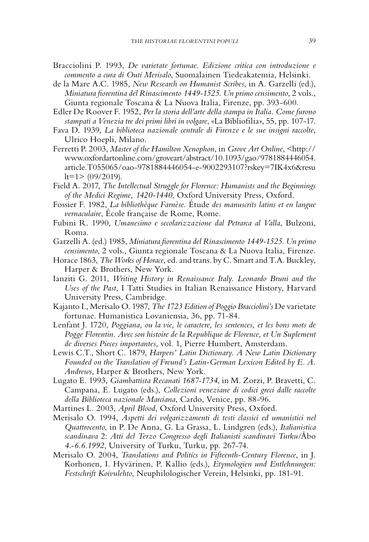- Bracciolini P. 1993, *De varietate fortunae*. *Edizione critica con introduzione e commento a cura di Outi Merisalo*, Suomalainen Tiedeakatemia, Helsinki.
- de la Mare A.C. 1985, *New Research on Humanist Scribes*, in A. Garzelli (ed.), *Miniatura fiorentina del Rinascimento 1449-1525. Un primo censimento*, 2 vols., Giunta regionale Toscana & La Nuova Italia, Firenze, pp. 393-600.

Edler De Roover F. 1952, *Per la storia dell'arte della stampa in Italia. Come furono stampati a Venezia tre dei primi libri in volgare*, «La Bibliofilia», 55, pp. 107-17.

- Fava D. 1939, *La biblioteca nazionale centrale di Firenze e le sue insigni raccolte*, Ulrico Hoepli, Milano.
- Ferretti P. 2003, *Master of the Hamilton Xenophon*, in *Grove Art Online*, <http:// www.oxfordartonline.com/groveart/abstract/10.1093/gao/9781884446054. article.T055065/oao-9781884446054-e-9002293107?rskey=7IK4x6&resu  $lt=1$  > (09/2019).
- Field A. 2017, *The Intellectual Struggle for Florence: Humanists and the Beginnings of the Medici Regime, 1420-1440*, Oxford University Press, Oxford.
- Fossier F. 1982, *La bibliothèque Farnèse.* Étude *des manuscrits latins et en langue vernaculaire*, École française de Rome, Rome.
- Fubini R. 1990, *Umanesimo e secolarizzazione dal Petrarca al Valla*, Bulzoni, Roma.
- Garzelli A. (ed.) 1985, *Miniatura fiorentina del Rinascimento 1449-1525. Un primo censimento*, 2 vols., Giunta regionale Toscana & La Nuova Italia, Firenze.
- Horace 1863, *The Works of Horace*, ed. and trans. by C. Smart and T.A. Buckley, Harper & Brothers, New York.
- Ianziti G. 2011, *Writing History in Renaissance Italy. Leonardo Bruni and the Uses of the Past*, I Tatti Studies in Italian Renaissance History, Harvard University Press, Cambridge.
- Kajanto I., Merisalo O. 1987, *The 1723 Edition of Poggio Bracciolini's* De varietate fortunae. Humanistica Lovaniensia, 36, pp. 71-84.
- Lenfant J. 1720, *Poggiana, ou la vie, le caractere, les sentences, et les bons mots de Pogge Florentin. Avec son histoire de la Republique de Florence, et Un Suplement de diverses Pieces importantes*, vol. 1, Pierre Humbert, Amsterdam.
- Lewis C.T., Short C. 1879, *Harpers' Latin Dictionary. A New Latin Dictionary Founded on the Translation of Freund's Latin-German Lexicon Edited by E. A. Andrews*, Harper & Brothers, New York.
- Lugato E. 1993, *Giambattista Recanati 1687-1734*, in M. Zorzi, P. Bravetti, C. Campana, E. Lugato (eds.), *Collezioni veneziane di codici greci dalle raccolte della Biblioteca nazionale Marciana*, Cardo, Venice, pp. 88-96.
- Martines L. 2003, *April Blood*, Oxford University Press, Oxford.
- Merisalo O. 1994, *Aspetti dei volgarizzamenti di testi classici ed umanistici nel Quattrocento*, in P. De Anna, G. La Grassa, L. Lindgren (eds.), *Italianistica scandinava* 2: *Atti del Terzo Congresso degli Italianisti scandinavi Turku/*Åbo *4.-6.6.1992*, University of Turku, Turku, pp. 267-74.
- Merisalo O. 2004, *Translations and Politics in Fifteenth-Century Florence*, in J. Korhonen, I. Hyvärinen, P. Kallio (eds.), *Etymologien und Entlehnungen: Festschrift Koivulehto*, Neuphilologischer Verein, Helsinki, pp. 181-91.